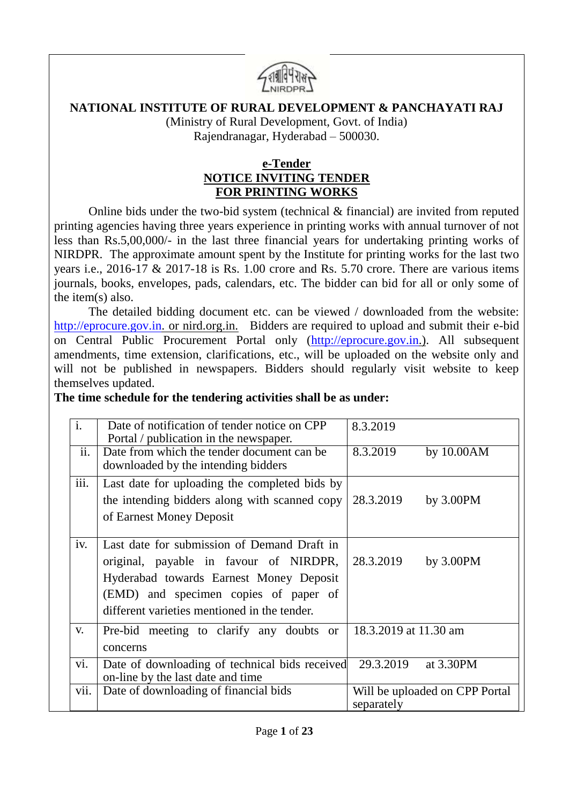

(Ministry of Rural Development, Govt. of India) Rajendranagar, Hyderabad – 500030.

#### **e-Tender NOTICE INVITING TENDER FOR PRINTING WORKS**

Online bids under the two-bid system (technical & financial) are invited from reputed printing agencies having three years experience in printing works with annual turnover of not less than Rs.5,00,000/- in the last three financial years for undertaking printing works of NIRDPR. The approximate amount spent by the Institute for printing works for the last two years i.e., 2016-17 & 2017-18 is Rs. 1.00 crore and Rs. 5.70 crore. There are various items journals, books, envelopes, pads, calendars, etc. The bidder can bid for all or only some of the item(s) also.

The detailed bidding document etc. can be viewed / downloaded from the website: [http://eprocure.gov.in.](http://eprocure.gov.in/) or nird.org.in. Bidders are required to upload and submit their e-bid on Central Public Procurement Portal only [\(http://eprocure.gov.in.](http://eprocure.gov.in/)). All subsequent amendments, time extension, clarifications, etc., will be uploaded on the website only and will not be published in newspapers. Bidders should regularly visit website to keep themselves updated.

#### **The time schedule for the tendering activities shall be as under:**

| $\mathbf{i}$ . | Date of notification of tender notice on CPP<br>Portal / publication in the newspaper.                                                                                                                                    | 8.3.2019                                     |
|----------------|---------------------------------------------------------------------------------------------------------------------------------------------------------------------------------------------------------------------------|----------------------------------------------|
| ii.            | Date from which the tender document can be.<br>downloaded by the intending bidders                                                                                                                                        | 8.3.2019<br>by 10.00AM                       |
| iii.           | Last date for uploading the completed bids by<br>the intending bidders along with scanned copy<br>of Earnest Money Deposit                                                                                                | 28.3.2019<br>by $3.00$ PM                    |
| iv.            | Last date for submission of Demand Draft in<br>original, payable in favour of NIRDPR,<br>Hyderabad towards Earnest Money Deposit<br>(EMD) and specimen copies of paper of<br>different varieties mentioned in the tender. | by 3.00PM<br>28.3.2019                       |
| V.             | Pre-bid meeting to clarify any doubts or<br>concerns                                                                                                                                                                      | 18.3.2019 at 11.30 am                        |
| vi.            | Date of downloading of technical bids received<br>on-line by the last date and time                                                                                                                                       | 29.3.2019<br>at 3.30PM                       |
| vii.           | Date of downloading of financial bids                                                                                                                                                                                     | Will be uploaded on CPP Portal<br>separately |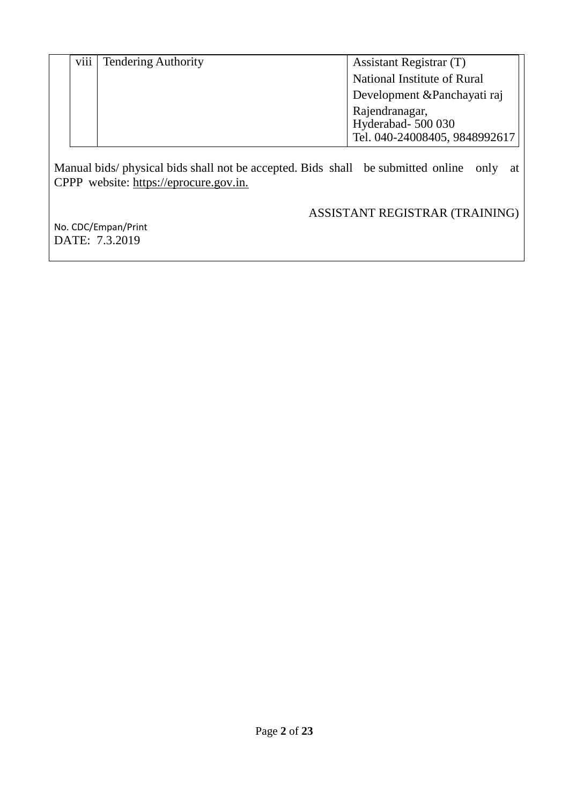| viii | <b>Tendering Authority</b> | Assistant Registrar (T)       |
|------|----------------------------|-------------------------------|
|      |                            | National Institute of Rural   |
|      |                            | Development & Panchayati raj  |
|      |                            | Rajendranagar,                |
|      |                            | Hyderabad-500 030             |
|      |                            | Tel. 040-24008405, 9848992617 |

Manual bids/ physical bids shall not be accepted. Bids shall be submitted online only at CPPP website: https://eprocure.gov.in.

ASSISTANT REGISTRAR (TRAINING)

No. [CDC/Empan/Print](https://nirdpr.eoffice.gov.in/eFile/?x=SHyQfLkVy89cQ7RrYwwGtVP2GiiqKf-F) DATE: 7.3.2019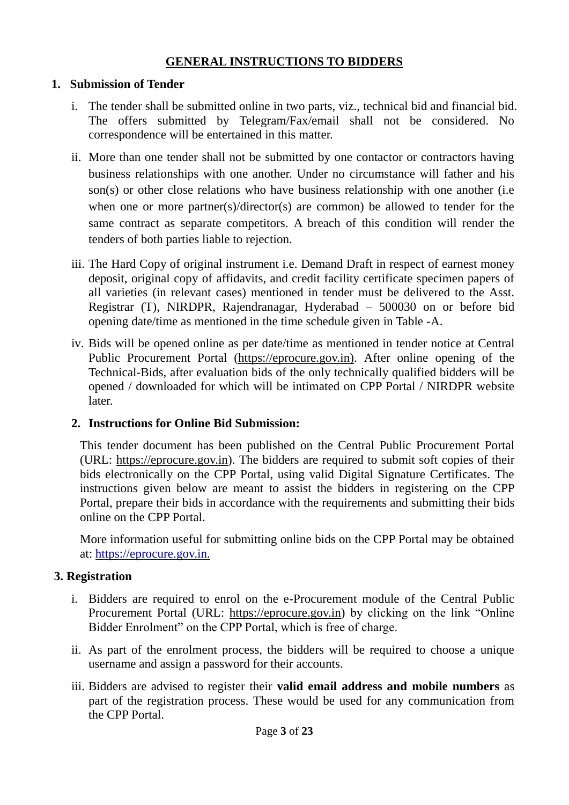## **GENERAL INSTRUCTIONS TO BIDDERS**

#### **1. Submission of Tender**

- i. The tender shall be submitted online in two parts, viz., technical bid and financial bid. The offers submitted by Telegram/Fax/email shall not be considered. No correspondence will be entertained in this matter.
- ii. More than one tender shall not be submitted by one contactor or contractors having business relationships with one another. Under no circumstance will father and his son(s) or other close relations who have business relationship with one another (i.e when one or more partner(s)/director(s) are common) be allowed to tender for the same contract as separate competitors. A breach of this condition will render the tenders of both parties liable to rejection.
- iii. The Hard Copy of original instrument i.e. Demand Draft in respect of earnest money deposit, original copy of affidavits, and credit facility certificate specimen papers of all varieties (in relevant cases) mentioned in tender must be delivered to the Asst. Registrar (T), NIRDPR, Rajendranagar, Hyderabad – 500030 on or before bid opening date/time as mentioned in the time schedule given in Table -A.
- iv. Bids will be opened online as per date/time as mentioned in tender notice at Central Public Procurement Portal (https://eprocure.gov.in). After online opening of the Technical-Bids, after evaluation bids of the only technically qualified bidders will be opened / downloaded for which will be intimated on CPP Portal / NIRDPR website later.

# **2. Instructions for Online Bid Submission:**

This tender document has been published on the Central Public Procurement Portal (URL: https://eprocure.gov.in). The bidders are required to submit soft copies of their bids electronically on the CPP Portal, using valid Digital Signature Certificates. The instructions given below are meant to assist the bidders in registering on the CPP Portal, prepare their bids in accordance with the requirements and submitting their bids online on the CPP Portal.

More information useful for submitting online bids on the CPP Portal may be obtained at: https://eprocure.gov.in.

# **3. Registration**

- i. Bidders are required to enrol on the e-Procurement module of the Central Public Procurement Portal (URL: https://eprocure.gov.in) by clicking on the link "Online Bidder Enrolment" on the CPP Portal, which is free of charge.
- ii. As part of the enrolment process, the bidders will be required to choose a unique username and assign a password for their accounts.
- iii. Bidders are advised to register their **valid email address and mobile numbers** as part of the registration process. These would be used for any communication from the CPP Portal.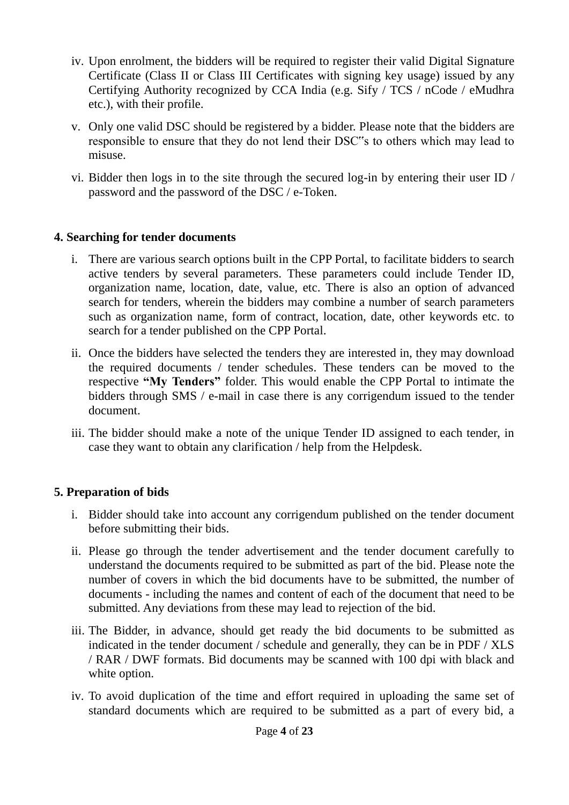- iv. Upon enrolment, the bidders will be required to register their valid Digital Signature Certificate (Class II or Class III Certificates with signing key usage) issued by any Certifying Authority recognized by CCA India (e.g. Sify / TCS / nCode / eMudhra etc.), with their profile.
- v. Only one valid DSC should be registered by a bidder. Please note that the bidders are responsible to ensure that they do not lend their DSC"s to others which may lead to misuse.
- vi. Bidder then logs in to the site through the secured log-in by entering their user ID / password and the password of the DSC / e-Token.

# **4. Searching for tender documents**

- i. There are various search options built in the CPP Portal, to facilitate bidders to search active tenders by several parameters. These parameters could include Tender ID, organization name, location, date, value, etc. There is also an option of advanced search for tenders, wherein the bidders may combine a number of search parameters such as organization name, form of contract, location, date, other keywords etc. to search for a tender published on the CPP Portal.
- ii. Once the bidders have selected the tenders they are interested in, they may download the required documents / tender schedules. These tenders can be moved to the respective **"My Tenders"** folder. This would enable the CPP Portal to intimate the bidders through SMS / e-mail in case there is any corrigendum issued to the tender document.
- iii. The bidder should make a note of the unique Tender ID assigned to each tender, in case they want to obtain any clarification / help from the Helpdesk.

# **5. Preparation of bids**

- i. Bidder should take into account any corrigendum published on the tender document before submitting their bids.
- ii. Please go through the tender advertisement and the tender document carefully to understand the documents required to be submitted as part of the bid. Please note the number of covers in which the bid documents have to be submitted, the number of documents - including the names and content of each of the document that need to be submitted. Any deviations from these may lead to rejection of the bid.
- iii. The Bidder, in advance, should get ready the bid documents to be submitted as indicated in the tender document / schedule and generally, they can be in PDF / XLS / RAR / DWF formats. Bid documents may be scanned with 100 dpi with black and white option.
- iv. To avoid duplication of the time and effort required in uploading the same set of standard documents which are required to be submitted as a part of every bid, a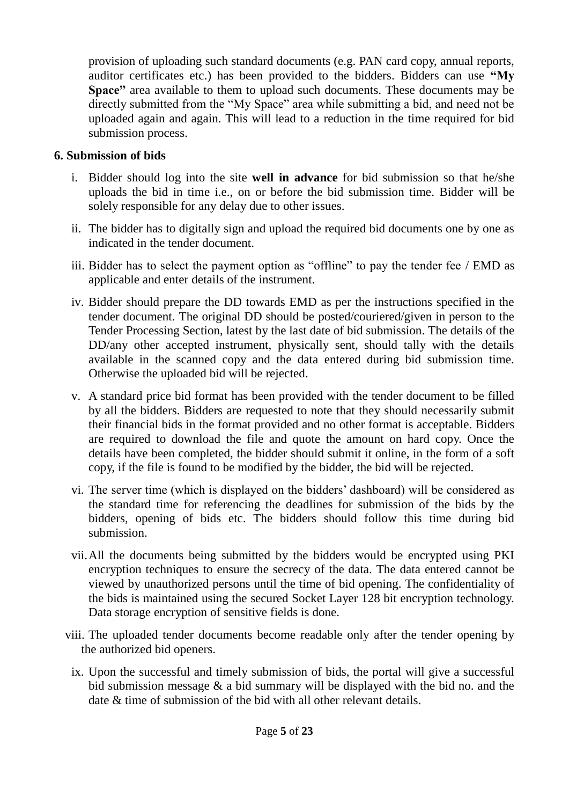provision of uploading such standard documents (e.g. PAN card copy, annual reports, auditor certificates etc.) has been provided to the bidders. Bidders can use **"My Space"** area available to them to upload such documents. These documents may be directly submitted from the "My Space" area while submitting a bid, and need not be uploaded again and again. This will lead to a reduction in the time required for bid submission process.

# **6. Submission of bids**

- i. Bidder should log into the site **well in advance** for bid submission so that he/she uploads the bid in time i.e., on or before the bid submission time. Bidder will be solely responsible for any delay due to other issues.
- ii. The bidder has to digitally sign and upload the required bid documents one by one as indicated in the tender document.
- iii. Bidder has to select the payment option as "offline" to pay the tender fee / EMD as applicable and enter details of the instrument.
- iv. Bidder should prepare the DD towards EMD as per the instructions specified in the tender document. The original DD should be posted/couriered/given in person to the Tender Processing Section, latest by the last date of bid submission. The details of the DD/any other accepted instrument, physically sent, should tally with the details available in the scanned copy and the data entered during bid submission time. Otherwise the uploaded bid will be rejected.
- v. A standard price bid format has been provided with the tender document to be filled by all the bidders. Bidders are requested to note that they should necessarily submit their financial bids in the format provided and no other format is acceptable. Bidders are required to download the file and quote the amount on hard copy. Once the details have been completed, the bidder should submit it online, in the form of a soft copy, if the file is found to be modified by the bidder, the bid will be rejected.
- vi. The server time (which is displayed on the bidders' dashboard) will be considered as the standard time for referencing the deadlines for submission of the bids by the bidders, opening of bids etc. The bidders should follow this time during bid submission.
- vii.All the documents being submitted by the bidders would be encrypted using PKI encryption techniques to ensure the secrecy of the data. The data entered cannot be viewed by unauthorized persons until the time of bid opening. The confidentiality of the bids is maintained using the secured Socket Layer 128 bit encryption technology. Data storage encryption of sensitive fields is done.
- viii. The uploaded tender documents become readable only after the tender opening by the authorized bid openers.
- ix. Upon the successful and timely submission of bids, the portal will give a successful bid submission message & a bid summary will be displayed with the bid no. and the date & time of submission of the bid with all other relevant details.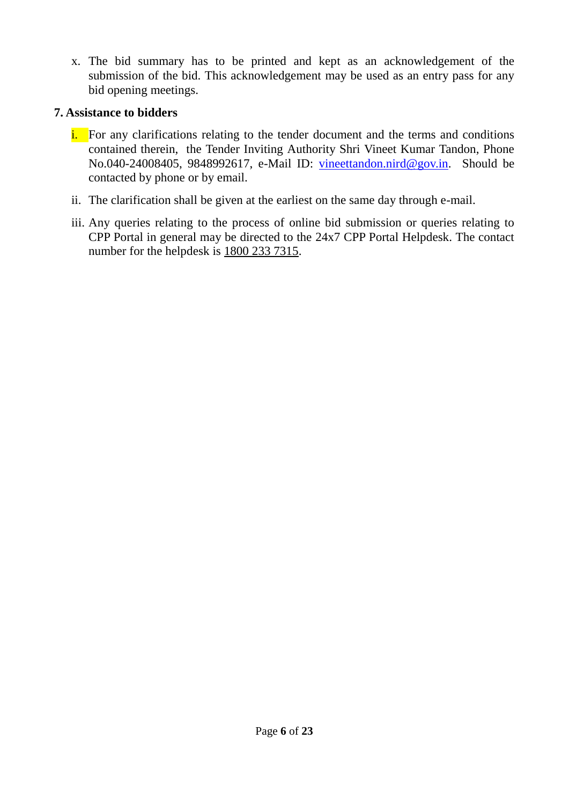x. The bid summary has to be printed and kept as an acknowledgement of the submission of the bid. This acknowledgement may be used as an entry pass for any bid opening meetings.

# **7. Assistance to bidders**

- i. For any clarifications relating to the tender document and the terms and conditions contained therein, the Tender Inviting Authority Shri Vineet Kumar Tandon, Phone No.040-24008405, 9848992617, e-Mail ID: [vineettandon.nird@gov.in.](mailto:vineettandon.nird@gov.in) Should be contacted by phone or by email.
- ii. The clarification shall be given at the earliest on the same day through e-mail.
- iii. Any queries relating to the process of online bid submission or queries relating to CPP Portal in general may be directed to the 24x7 CPP Portal Helpdesk. The contact number for the helpdesk is 1800 233 7315.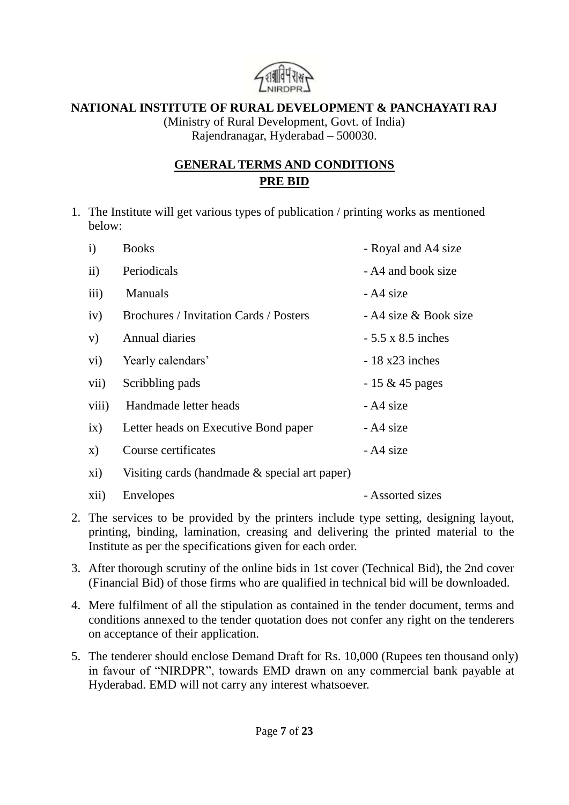

(Ministry of Rural Development, Govt. of India) Rajendranagar, Hyderabad – 500030.

# **GENERAL TERMS AND CONDITIONS PRE BID**

1. The Institute will get various types of publication / printing works as mentioned below:

| $\mathbf{i}$  | <b>Books</b>                           | - Royal and A4 size      |
|---------------|----------------------------------------|--------------------------|
| $\mathbf{ii}$ | Periodicals                            | - A4 and book size       |
| iii)          | <b>Manuals</b>                         | - A4 size                |
| iv)           | Brochures / Invitation Cards / Posters | - A4 size & Book size    |
| V)            | <b>Annual diaries</b>                  | $-5.5 \times 8.5$ inches |
| $\rm vi)$     | Yearly calendars'                      | $-18x23$ inches          |
| vii)          | Scribbling pads                        | $-15 & 45$ pages         |
| viii)         | Handmade letter heads                  | - A4 size                |
| ix)           | Letter heads on Executive Bond paper   | - A4 size                |
| $\mathbf{X}$  | Course certificates                    | - A4 size                |
|               |                                        |                          |

xi) Visiting cards (handmade & special art paper)

- 2. The services to be provided by the printers include type setting, designing layout, printing, binding, lamination, creasing and delivering the printed material to the Institute as per the specifications given for each order.
- 3. After thorough scrutiny of the online bids in 1st cover (Technical Bid), the 2nd cover (Financial Bid) of those firms who are qualified in technical bid will be downloaded.
- 4. Mere fulfilment of all the stipulation as contained in the tender document, terms and conditions annexed to the tender quotation does not confer any right on the tenderers on acceptance of their application.
- 5. The tenderer should enclose Demand Draft for Rs. 10,000 (Rupees ten thousand only) in favour of "NIRDPR", towards EMD drawn on any commercial bank payable at Hyderabad. EMD will not carry any interest whatsoever.

xii) Envelopes - Assorted sizes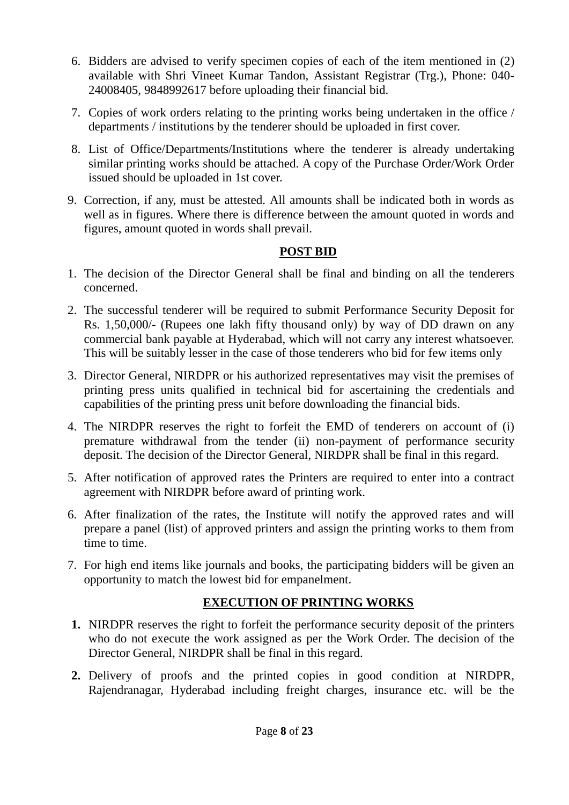- 6. Bidders are advised to verify specimen copies of each of the item mentioned in (2) available with Shri Vineet Kumar Tandon, Assistant Registrar (Trg.), Phone: 040- 24008405, 9848992617 before uploading their financial bid.
- 7. Copies of work orders relating to the printing works being undertaken in the office / departments / institutions by the tenderer should be uploaded in first cover.
- 8. List of Office/Departments/Institutions where the tenderer is already undertaking similar printing works should be attached. A copy of the Purchase Order/Work Order issued should be uploaded in 1st cover.
- 9. Correction, if any, must be attested. All amounts shall be indicated both in words as well as in figures. Where there is difference between the amount quoted in words and figures, amount quoted in words shall prevail.

# **POST BID**

- 1. The decision of the Director General shall be final and binding on all the tenderers concerned.
- 2. The successful tenderer will be required to submit Performance Security Deposit for Rs. 1,50,000/- (Rupees one lakh fifty thousand only) by way of DD drawn on any commercial bank payable at Hyderabad, which will not carry any interest whatsoever. This will be suitably lesser in the case of those tenderers who bid for few items only
- 3. Director General, NIRDPR or his authorized representatives may visit the premises of printing press units qualified in technical bid for ascertaining the credentials and capabilities of the printing press unit before downloading the financial bids.
- 4. The NIRDPR reserves the right to forfeit the EMD of tenderers on account of (i) premature withdrawal from the tender (ii) non-payment of performance security deposit. The decision of the Director General, NIRDPR shall be final in this regard.
- 5. After notification of approved rates the Printers are required to enter into a contract agreement with NIRDPR before award of printing work.
- 6. After finalization of the rates, the Institute will notify the approved rates and will prepare a panel (list) of approved printers and assign the printing works to them from time to time.
- 7. For high end items like journals and books, the participating bidders will be given an opportunity to match the lowest bid for empanelment.

# **EXECUTION OF PRINTING WORKS**

- **1.** NIRDPR reserves the right to forfeit the performance security deposit of the printers who do not execute the work assigned as per the Work Order. The decision of the Director General, NIRDPR shall be final in this regard.
- **2.** Delivery of proofs and the printed copies in good condition at NIRDPR, Rajendranagar, Hyderabad including freight charges, insurance etc. will be the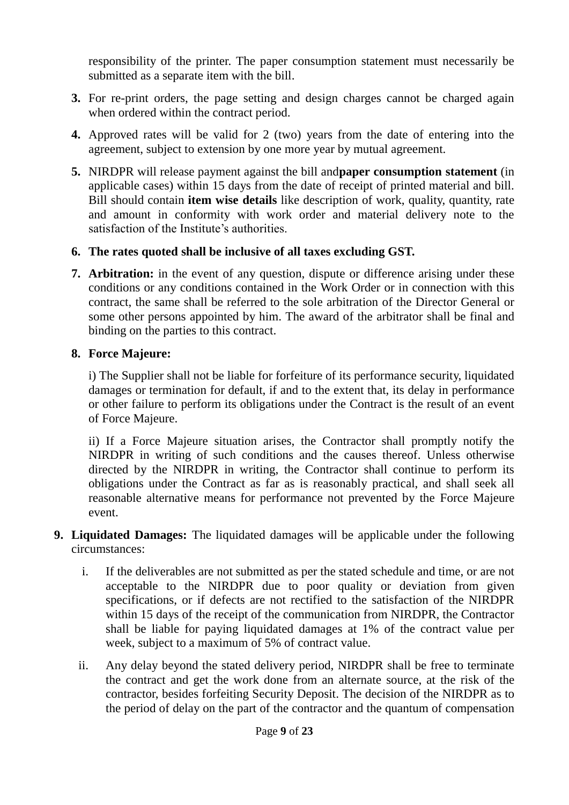responsibility of the printer. The paper consumption statement must necessarily be submitted as a separate item with the bill.

- **3.** For re-print orders, the page setting and design charges cannot be charged again when ordered within the contract period.
- **4.** Approved rates will be valid for 2 (two) years from the date of entering into the agreement, subject to extension by one more year by mutual agreement.
- **5.** NIRDPR will release payment against the bill and**paper consumption statement** (in applicable cases) within 15 days from the date of receipt of printed material and bill. Bill should contain **item wise details** like description of work, quality, quantity, rate and amount in conformity with work order and material delivery note to the satisfaction of the Institute's authorities.

# **6. The rates quoted shall be inclusive of all taxes excluding GST.**

**7. Arbitration:** in the event of any question, dispute or difference arising under these conditions or any conditions contained in the Work Order or in connection with this contract, the same shall be referred to the sole arbitration of the Director General or some other persons appointed by him. The award of the arbitrator shall be final and binding on the parties to this contract.

# **8. Force Majeure:**

i) The Supplier shall not be liable for forfeiture of its performance security, liquidated damages or termination for default, if and to the extent that, its delay in performance or other failure to perform its obligations under the Contract is the result of an event of Force Majeure.

ii) If a Force Majeure situation arises, the Contractor shall promptly notify the NIRDPR in writing of such conditions and the causes thereof. Unless otherwise directed by the NIRDPR in writing, the Contractor shall continue to perform its obligations under the Contract as far as is reasonably practical, and shall seek all reasonable alternative means for performance not prevented by the Force Majeure event.

- **9. Liquidated Damages:** The liquidated damages will be applicable under the following circumstances:
	- i. If the deliverables are not submitted as per the stated schedule and time, or are not acceptable to the NIRDPR due to poor quality or deviation from given specifications, or if defects are not rectified to the satisfaction of the NIRDPR within 15 days of the receipt of the communication from NIRDPR, the Contractor shall be liable for paying liquidated damages at 1% of the contract value per week, subject to a maximum of 5% of contract value.
	- ii. Any delay beyond the stated delivery period, NIRDPR shall be free to terminate the contract and get the work done from an alternate source, at the risk of the contractor, besides forfeiting Security Deposit. The decision of the NIRDPR as to the period of delay on the part of the contractor and the quantum of compensation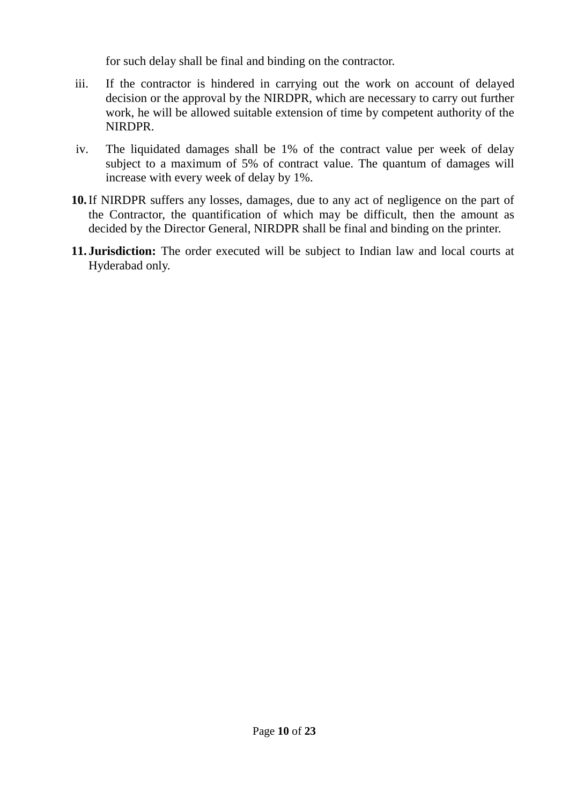for such delay shall be final and binding on the contractor.

- iii. If the contractor is hindered in carrying out the work on account of delayed decision or the approval by the NIRDPR, which are necessary to carry out further work, he will be allowed suitable extension of time by competent authority of the NIRDPR.
- iv. The liquidated damages shall be 1% of the contract value per week of delay subject to a maximum of 5% of contract value. The quantum of damages will increase with every week of delay by 1%.
- **10.**If NIRDPR suffers any losses, damages, due to any act of negligence on the part of the Contractor, the quantification of which may be difficult, then the amount as decided by the Director General, NIRDPR shall be final and binding on the printer.
- **11. Jurisdiction:** The order executed will be subject to Indian law and local courts at Hyderabad only.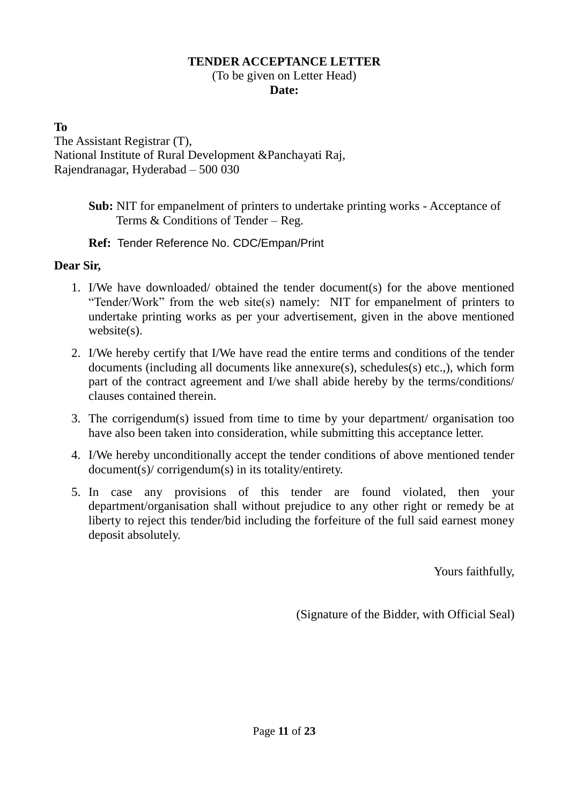#### **TENDER ACCEPTANCE LETTER** (To be given on Letter Head) **Date:**

**To**

The Assistant Registrar (T), National Institute of Rural Development &Panchayati Raj, Rajendranagar, Hyderabad – 500 030

> **Sub:** NIT for empanelment of printers to undertake printing works - Acceptance of Terms & Conditions of Tender – Reg.

# **Ref:** Tender Reference No. [CDC/Empan/Print](https://nirdpr.eoffice.gov.in/eFile/?x=SHyQfLkVy89cQ7RrYwwGtVP2GiiqKf-F)

# **Dear Sir,**

- 1. I/We have downloaded/ obtained the tender document(s) for the above mentioned "Tender/Work" from the web site(s) namely: NIT for empanelment of printers to undertake printing works as per your advertisement, given in the above mentioned website(s).
- 2. I/We hereby certify that I/We have read the entire terms and conditions of the tender documents (including all documents like annexure(s), schedules(s) etc.,), which form part of the contract agreement and I/we shall abide hereby by the terms/conditions/ clauses contained therein.
- 3. The corrigendum(s) issued from time to time by your department/ organisation too have also been taken into consideration, while submitting this acceptance letter.
- 4. I/We hereby unconditionally accept the tender conditions of above mentioned tender document(s)/ corrigendum(s) in its totality/entirety.
- 5. In case any provisions of this tender are found violated, then your department/organisation shall without prejudice to any other right or remedy be at liberty to reject this tender/bid including the forfeiture of the full said earnest money deposit absolutely.

Yours faithfully,

(Signature of the Bidder, with Official Seal)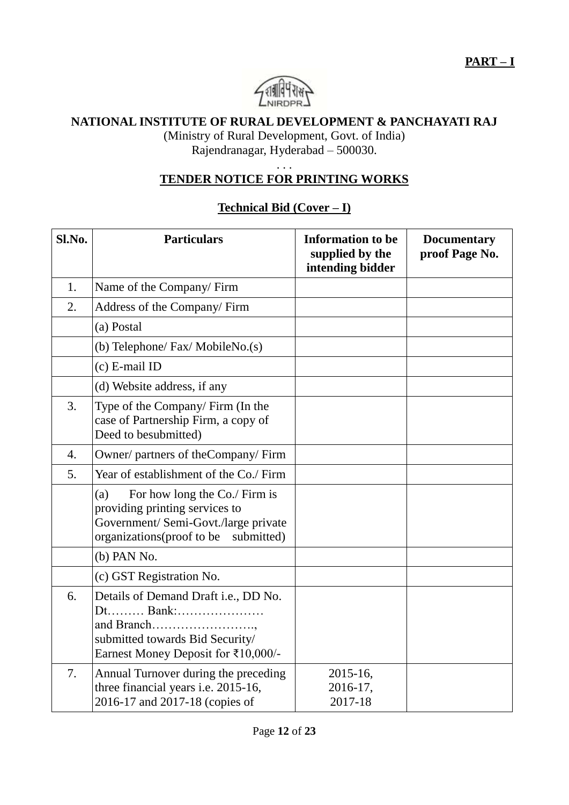

(Ministry of Rural Development, Govt. of India) Rajendranagar, Hyderabad – 500030.

#### . . . **TENDER NOTICE FOR PRINTING WORKS**

# **Technical Bid (Cover – I)**

| Sl.No.           | <b>Particulars</b>                                                                                                                                         | <b>Information</b> to be<br>supplied by the<br>intending bidder | <b>Documentary</b><br>proof Page No. |
|------------------|------------------------------------------------------------------------------------------------------------------------------------------------------------|-----------------------------------------------------------------|--------------------------------------|
| 1.               | Name of the Company/Firm                                                                                                                                   |                                                                 |                                      |
| 2.               | Address of the Company/Firm                                                                                                                                |                                                                 |                                      |
|                  | (a) Postal                                                                                                                                                 |                                                                 |                                      |
|                  | (b) Telephone/ Fax/ MobileNo.(s)                                                                                                                           |                                                                 |                                      |
|                  | $(c)$ E-mail ID                                                                                                                                            |                                                                 |                                      |
|                  | (d) Website address, if any                                                                                                                                |                                                                 |                                      |
| 3.               | Type of the Company/Firm (In the<br>case of Partnership Firm, a copy of<br>Deed to besubmitted)                                                            |                                                                 |                                      |
| $\overline{4}$ . | Owner/ partners of the Company/ Firm                                                                                                                       |                                                                 |                                      |
| 5.               | Year of establishment of the Co./ Firm                                                                                                                     |                                                                 |                                      |
|                  | For how long the Co./ Firm is<br>(a)<br>providing printing services to<br>Government/ Semi-Govt./large private<br>organizations (proof to be<br>submitted) |                                                                 |                                      |
|                  | (b) PAN No.                                                                                                                                                |                                                                 |                                      |
|                  | (c) GST Registration No.                                                                                                                                   |                                                                 |                                      |
| 6.               | Details of Demand Draft i.e., DD No.<br>Dt Bank:<br>and Branch<br>submitted towards Bid Security/<br>Earnest Money Deposit for ₹10,000/-                   |                                                                 |                                      |
| 7.               | Annual Turnover during the preceding<br>three financial years i.e. 2015-16,<br>2016-17 and 2017-18 (copies of                                              | 2015-16,<br>2016-17,<br>2017-18                                 |                                      |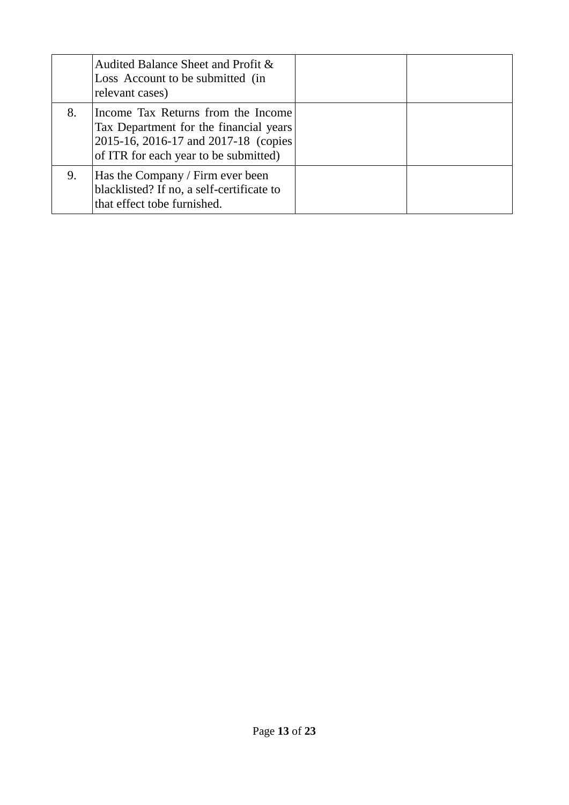|    | Audited Balance Sheet and Profit &<br>Loss Account to be submitted (in<br>relevant cases)                                                                      |  |
|----|----------------------------------------------------------------------------------------------------------------------------------------------------------------|--|
| 8. | Income Tax Returns from the Income<br>Tax Department for the financial years<br>2015-16, 2016-17 and 2017-18 (copies)<br>of ITR for each year to be submitted) |  |
| 9. | Has the Company / Firm ever been<br>blacklisted? If no, a self-certificate to<br>that effect tobe furnished.                                                   |  |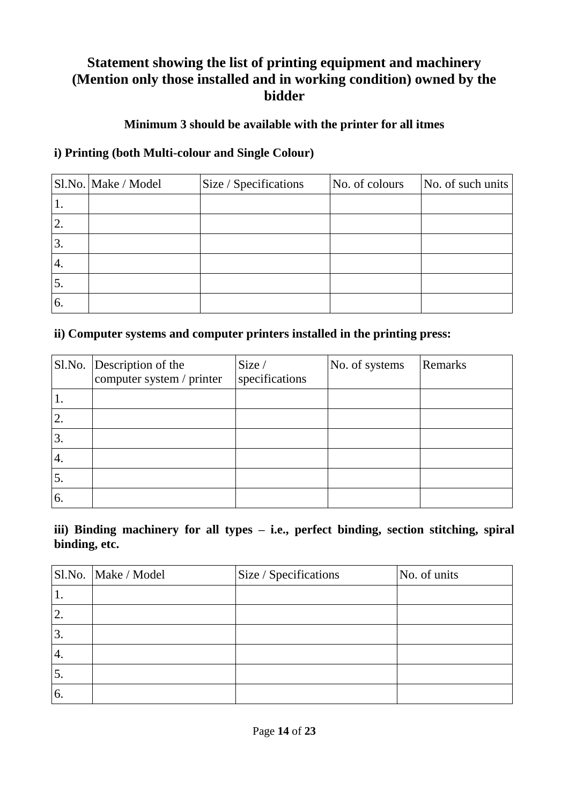# **Statement showing the list of printing equipment and machinery (Mention only those installed and in working condition) owned by the bidder**

# **Minimum 3 should be available with the printer for all itmes**

# **i) Printing (both Multi-colour and Single Colour)**

|               | Sl.No. Make / Model | Size / Specifications | No. of colours | No. of such units |
|---------------|---------------------|-----------------------|----------------|-------------------|
|               |                     |                       |                |                   |
| 2.            |                     |                       |                |                   |
| 3.            |                     |                       |                |                   |
| $\mathcal{A}$ |                     |                       |                |                   |
| 5.            |                     |                       |                |                   |
| 6.            |                     |                       |                |                   |

## **ii) Computer systems and computer printers installed in the printing press:**

| Sl.No. | Description of the<br>computer system / printer | Size /<br>specifications | No. of systems | Remarks |
|--------|-------------------------------------------------|--------------------------|----------------|---------|
| Ι.     |                                                 |                          |                |         |
| 2.     |                                                 |                          |                |         |
| 3.     |                                                 |                          |                |         |
| 4.     |                                                 |                          |                |         |
| 5.     |                                                 |                          |                |         |
| 6.     |                                                 |                          |                |         |

## **iii) Binding machinery for all types – i.e., perfect binding, section stitching, spiral binding, etc.**

|                  | Sl.No.   Make / Model | Size / Specifications | No. of units |
|------------------|-----------------------|-----------------------|--------------|
| ᆞ                |                       |                       |              |
| 2.               |                       |                       |              |
| 3.               |                       |                       |              |
| $\overline{4}$ . |                       |                       |              |
| 5.               |                       |                       |              |
| 6.               |                       |                       |              |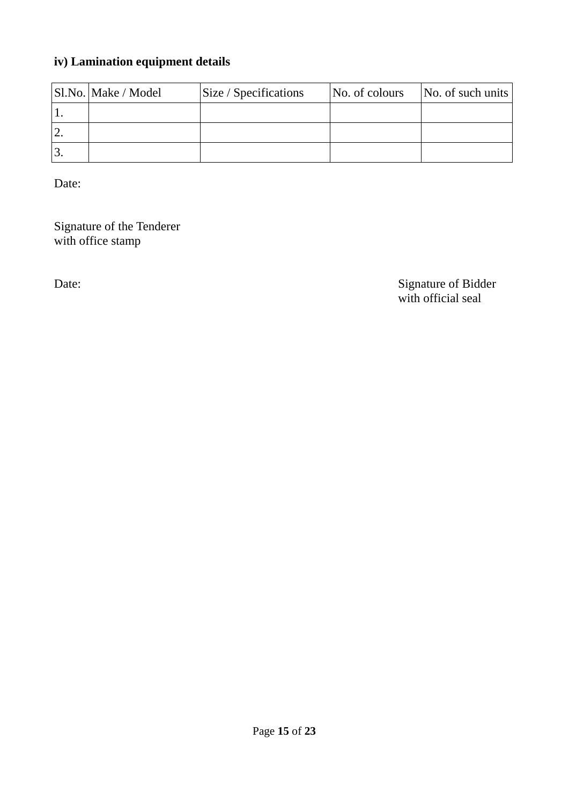# **iv) Lamination equipment details**

| Sl.No. Make / Model | Size / Specifications | $\vert$ No. of colours | No. of such units |
|---------------------|-----------------------|------------------------|-------------------|
|                     |                       |                        |                   |
|                     |                       |                        |                   |
|                     |                       |                        |                   |

Date:

Signature of the Tenderer with office stamp

Date: Signature of Bidder with official seal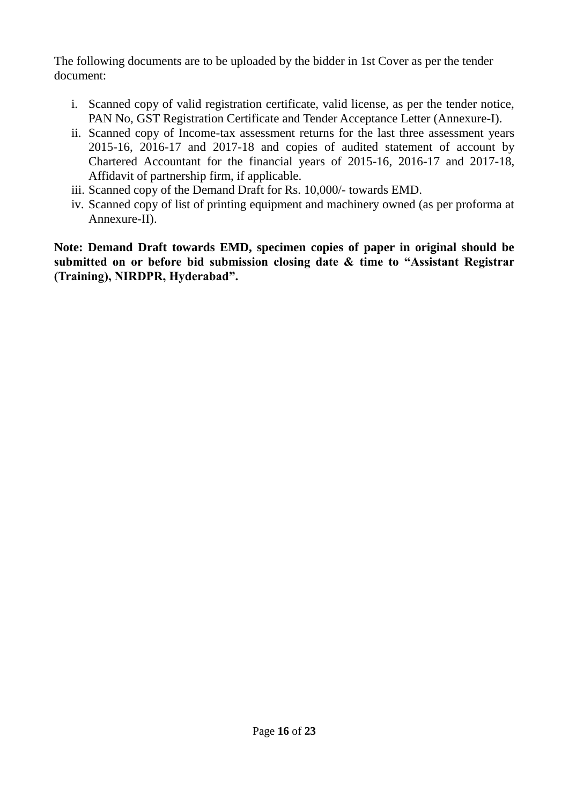The following documents are to be uploaded by the bidder in 1st Cover as per the tender document:

- i. Scanned copy of valid registration certificate, valid license, as per the tender notice, PAN No, GST Registration Certificate and Tender Acceptance Letter (Annexure-I).
- ii. Scanned copy of Income-tax assessment returns for the last three assessment years 2015-16, 2016-17 and 2017-18 and copies of audited statement of account by Chartered Accountant for the financial years of 2015-16, 2016-17 and 2017-18, Affidavit of partnership firm, if applicable.
- iii. Scanned copy of the Demand Draft for Rs. 10,000/- towards EMD.
- iv. Scanned copy of list of printing equipment and machinery owned (as per proforma at Annexure-II).

**Note: Demand Draft towards EMD, specimen copies of paper in original should be submitted on or before bid submission closing date & time to "Assistant Registrar (Training), NIRDPR, Hyderabad".**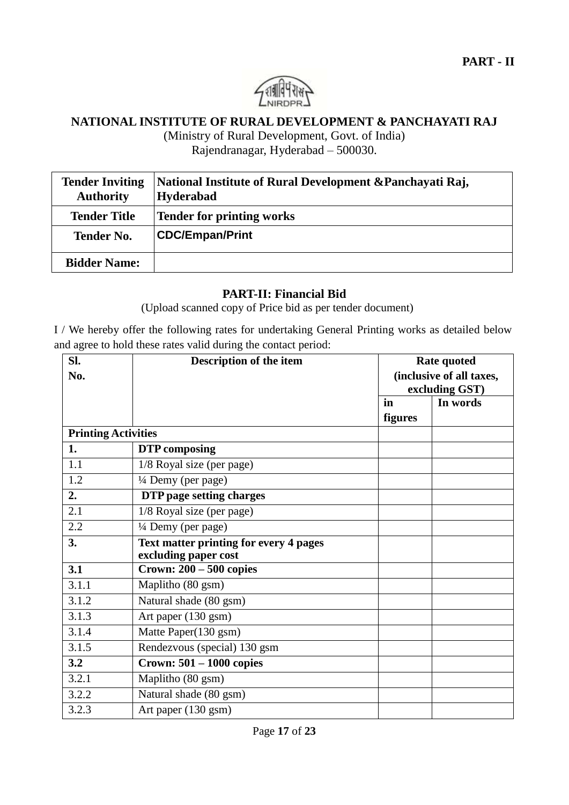

(Ministry of Rural Development, Govt. of India) Rajendranagar, Hyderabad – 500030.

| <b>Tender Inviting</b><br><b>Authority</b> | National Institute of Rural Development & Panchayati Raj,<br><b>Hyderabad</b> |
|--------------------------------------------|-------------------------------------------------------------------------------|
| <b>Tender Title</b>                        | <b>Tender for printing works</b>                                              |
| <b>Tender No.</b>                          | <b>CDC/Empan/Print</b>                                                        |
| <b>Bidder Name:</b>                        |                                                                               |

## **PART-II: Financial Bid**

(Upload scanned copy of Price bid as per tender document)

I / We hereby offer the following rates for undertaking General Printing works as detailed below and agree to hold these rates valid during the contact period:

| SI.                        | Description of the item                | Rate quoted              |                |
|----------------------------|----------------------------------------|--------------------------|----------------|
| No.                        |                                        | (inclusive of all taxes, |                |
|                            |                                        |                          | excluding GST) |
|                            |                                        | in                       | In words       |
|                            |                                        | figures                  |                |
| <b>Printing Activities</b> |                                        |                          |                |
| 1.                         | <b>DTP</b> composing                   |                          |                |
| 1.1                        | 1/8 Royal size (per page)              |                          |                |
| 1.2                        | 1/4 Demy (per page)                    |                          |                |
| 2.                         | DTP page setting charges               |                          |                |
| 2.1                        | 1/8 Royal size (per page)              |                          |                |
| 2.2                        | 1/4 Demy (per page)                    |                          |                |
| 3.                         | Text matter printing for every 4 pages |                          |                |
|                            | excluding paper cost                   |                          |                |
| 3.1                        | Crown: $200 - 500$ copies              |                          |                |
| 3.1.1                      | Maplitho (80 gsm)                      |                          |                |
| 3.1.2                      | Natural shade (80 gsm)                 |                          |                |
| 3.1.3                      | Art paper (130 gsm)                    |                          |                |
| 3.1.4                      | Matte Paper(130 gsm)                   |                          |                |
| 3.1.5                      | Rendezvous (special) 130 gsm           |                          |                |
| 3.2                        | Crown: $501 - 1000$ copies             |                          |                |
| 3.2.1                      | Maplitho (80 gsm)                      |                          |                |
| 3.2.2                      | Natural shade (80 gsm)                 |                          |                |
| 3.2.3                      | Art paper (130 gsm)                    |                          |                |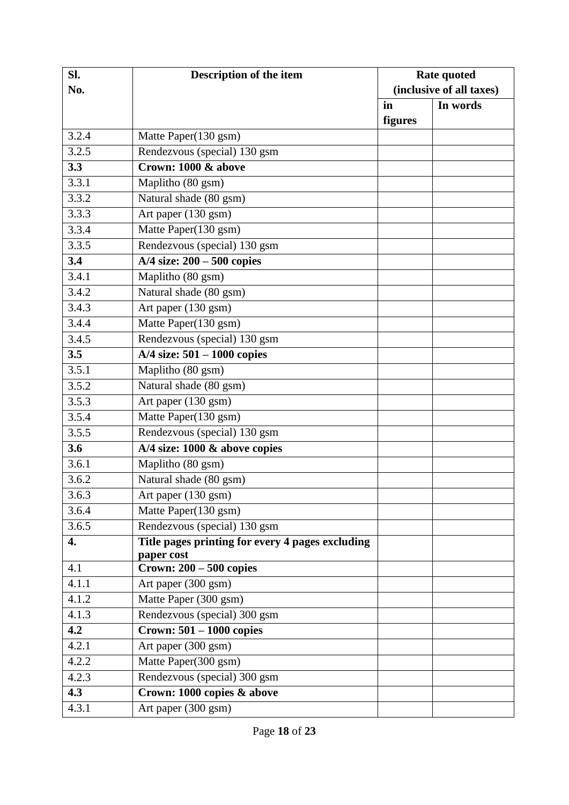| SI.   | Description of the item                                        | Rate quoted    |                          |
|-------|----------------------------------------------------------------|----------------|--------------------------|
| No.   |                                                                |                | (inclusive of all taxes) |
|       |                                                                | in             | In words                 |
|       |                                                                | <b>figures</b> |                          |
| 3.2.4 | Matte Paper(130 gsm)                                           |                |                          |
| 3.2.5 | Rendezvous (special) 130 gsm                                   |                |                          |
| 3.3   | Crown: 1000 & above                                            |                |                          |
| 3.3.1 | Maplitho (80 gsm)                                              |                |                          |
| 3.3.2 | Natural shade (80 gsm)                                         |                |                          |
| 3.3.3 | Art paper (130 gsm)                                            |                |                          |
| 3.3.4 | Matte Paper(130 gsm)                                           |                |                          |
| 3.3.5 | Rendezvous (special) 130 gsm                                   |                |                          |
| 3.4   | $A/4$ size: $200 - 500$ copies                                 |                |                          |
| 3.4.1 | Maplitho (80 gsm)                                              |                |                          |
| 3.4.2 | Natural shade (80 gsm)                                         |                |                          |
| 3.4.3 | Art paper (130 gsm)                                            |                |                          |
| 3.4.4 | Matte Paper(130 gsm)                                           |                |                          |
| 3.4.5 | Rendezvous (special) 130 gsm                                   |                |                          |
| 3.5   | $\overline{A/4 \text{ size}: 501 - 1000 \text{ copies}}$       |                |                          |
| 3.5.1 | Maplitho (80 gsm)                                              |                |                          |
| 3.5.2 | Natural shade (80 gsm)                                         |                |                          |
| 3.5.3 | Art paper (130 gsm)                                            |                |                          |
| 3.5.4 | Matte Paper(130 gsm)                                           |                |                          |
| 3.5.5 | Rendezvous (special) 130 gsm                                   |                |                          |
| 3.6   | $A/4$ size: 1000 & above copies                                |                |                          |
| 3.6.1 | Maplitho (80 gsm)                                              |                |                          |
| 3.6.2 | Natural shade (80 gsm)                                         |                |                          |
| 3.6.3 | Art paper (130 gsm)                                            |                |                          |
| 3.6.4 | Matte Paper(130 gsm)                                           |                |                          |
| 3.6.5 | Rendezvous (special) 130 gsm                                   |                |                          |
| 4.    | Title pages printing for every 4 pages excluding<br>paper cost |                |                          |
| 4.1   | Crown: $200 - 500$ copies                                      |                |                          |
| 4.1.1 | Art paper (300 gsm)                                            |                |                          |
| 4.1.2 | Matte Paper (300 gsm)                                          |                |                          |
| 4.1.3 | Rendezvous (special) 300 gsm                                   |                |                          |
| 4.2   | Crown: $501 - 1000$ copies                                     |                |                          |
| 4.2.1 | Art paper (300 gsm)                                            |                |                          |
| 4.2.2 | Matte Paper(300 gsm)                                           |                |                          |
| 4.2.3 | Rendezvous (special) 300 gsm                                   |                |                          |
| 4.3   | Crown: 1000 copies & above                                     |                |                          |
|       |                                                                |                |                          |
| 4.3.1 | Art paper (300 gsm)                                            |                |                          |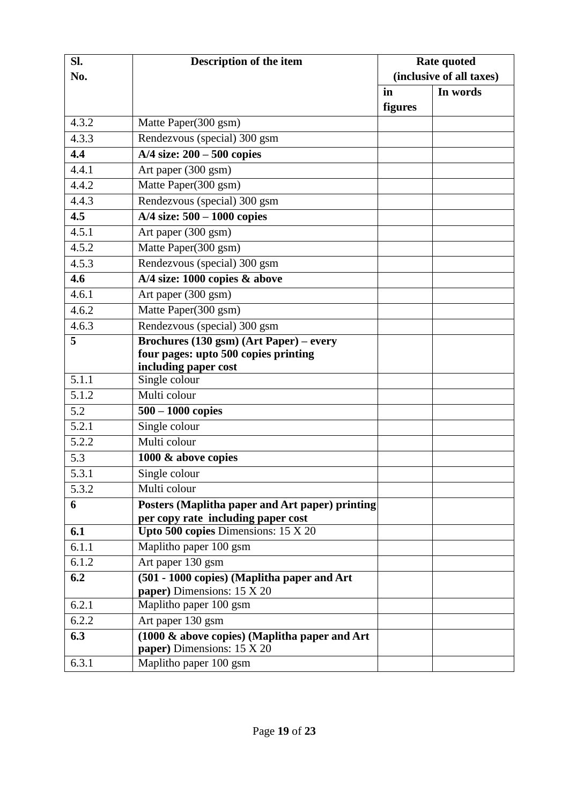| Sl.   | Description of the item                                                   | <b>Rate quoted</b>       |          |
|-------|---------------------------------------------------------------------------|--------------------------|----------|
| No.   |                                                                           | (inclusive of all taxes) |          |
|       |                                                                           | in                       | In words |
|       |                                                                           | figures                  |          |
| 4.3.2 | Matte Paper(300 gsm)                                                      |                          |          |
| 4.3.3 | Rendezvous (special) 300 gsm                                              |                          |          |
| 4.4   | $A/4$ size: $200 - 500$ copies                                            |                          |          |
| 4.4.1 | Art paper (300 gsm)                                                       |                          |          |
| 4.4.2 | Matte Paper(300 gsm)                                                      |                          |          |
| 4.4.3 | Rendezvous (special) 300 gsm                                              |                          |          |
| 4.5   | $A/4$ size: $500 - 1000$ copies                                           |                          |          |
| 4.5.1 | Art paper (300 gsm)                                                       |                          |          |
| 4.5.2 | Matte Paper(300 gsm)                                                      |                          |          |
| 4.5.3 | Rendezvous (special) 300 gsm                                              |                          |          |
| 4.6   | A/4 size: 1000 copies & above                                             |                          |          |
| 4.6.1 | Art paper (300 gsm)                                                       |                          |          |
| 4.6.2 | Matte Paper(300 gsm)                                                      |                          |          |
| 4.6.3 | Rendezvous (special) 300 gsm                                              |                          |          |
| 5     | Brochures (130 gsm) (Art Paper) – every                                   |                          |          |
|       | four pages: upto 500 copies printing                                      |                          |          |
|       | including paper cost                                                      |                          |          |
| 5.1.1 | Single colour                                                             |                          |          |
| 5.1.2 | Multi colour                                                              |                          |          |
| 5.2   | $500 - 1000$ copies                                                       |                          |          |
| 5.2.1 | Single colour                                                             |                          |          |
| 5.2.2 | Multi colour                                                              |                          |          |
| 5.3   | 1000 & above copies                                                       |                          |          |
| 5.3.1 | Single colour                                                             |                          |          |
| 5.3.2 | Multi colour                                                              |                          |          |
| 6     | Posters (Maplitha paper and Art paper) printing                           |                          |          |
| 6.1   | per copy rate including paper cost<br>Upto 500 copies Dimensions: 15 X 20 |                          |          |
| 6.1.1 | Maplitho paper 100 gsm                                                    |                          |          |
| 6.1.2 | Art paper 130 gsm                                                         |                          |          |
| 6.2   |                                                                           |                          |          |
|       | (501 - 1000 copies) (Maplitha paper and Art<br>paper) Dimensions: 15 X 20 |                          |          |
| 6.2.1 | Maplitho paper 100 gsm                                                    |                          |          |
| 6.2.2 | Art paper 130 gsm                                                         |                          |          |
| 6.3   | (1000 & above copies) (Maplitha paper and Art                             |                          |          |
|       | paper) Dimensions: 15 X 20                                                |                          |          |
| 6.3.1 | Maplitho paper 100 gsm                                                    |                          |          |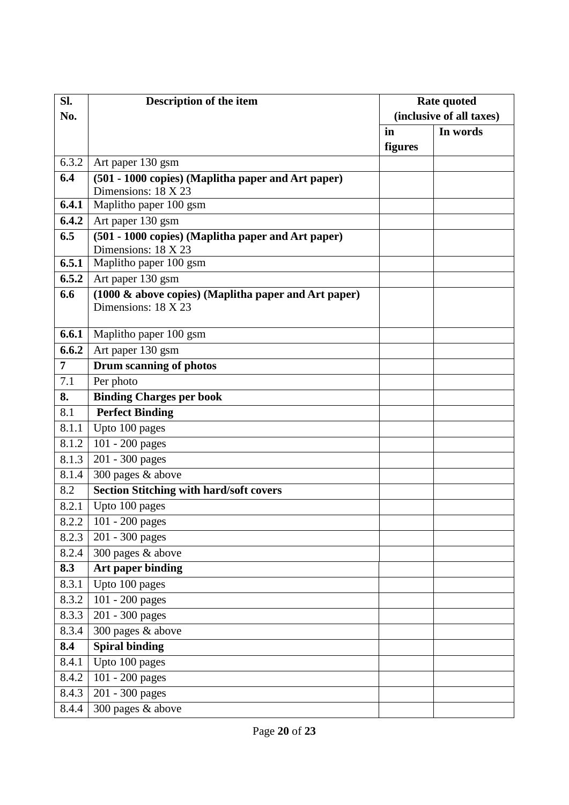| Sl.            | Description of the item                                                   | <b>Rate quoted</b> |                          |
|----------------|---------------------------------------------------------------------------|--------------------|--------------------------|
| No.            |                                                                           |                    | (inclusive of all taxes) |
|                |                                                                           | in                 | In words                 |
|                |                                                                           | figures            |                          |
| 6.3.2          | Art paper 130 gsm                                                         |                    |                          |
| 6.4            | (501 - 1000 copies) (Maplitha paper and Art paper)                        |                    |                          |
|                | Dimensions: 18 X 23                                                       |                    |                          |
| 6.4.1          | Maplitho paper 100 gsm                                                    |                    |                          |
| 6.4.2          | Art paper 130 gsm                                                         |                    |                          |
| 6.5            | (501 - 1000 copies) (Maplitha paper and Art paper)<br>Dimensions: 18 X 23 |                    |                          |
| 6.5.1          | Maplitho paper 100 gsm                                                    |                    |                          |
| 6.5.2          | Art paper 130 gsm                                                         |                    |                          |
| 6.6            | (1000 & above copies) (Maplitha paper and Art paper)                      |                    |                          |
|                | Dimensions: 18 X 23                                                       |                    |                          |
| 6.6.1          | Maplitho paper 100 gsm                                                    |                    |                          |
| 6.6.2          | Art paper 130 gsm                                                         |                    |                          |
| $\overline{7}$ | Drum scanning of photos                                                   |                    |                          |
| 7.1            | Per photo                                                                 |                    |                          |
| 8.             | <b>Binding Charges per book</b>                                           |                    |                          |
| 8.1            | <b>Perfect Binding</b>                                                    |                    |                          |
| 8.1.1          | Upto 100 pages                                                            |                    |                          |
| 8.1.2          | 101 - 200 pages                                                           |                    |                          |
| 8.1.3          | 201 - 300 pages                                                           |                    |                          |
| 8.1.4          | 300 pages & above                                                         |                    |                          |
| 8.2            | <b>Section Stitching with hard/soft covers</b>                            |                    |                          |
| 8.2.1          | Upto 100 pages                                                            |                    |                          |
|                | 8.2.2 101 - 200 pages                                                     |                    |                          |
| 8.2.3          | 201 - 300 pages                                                           |                    |                          |
| 8.2.4          | 300 pages & above                                                         |                    |                          |
| 8.3            | Art paper binding                                                         |                    |                          |
| 8.3.1          | Upto 100 pages                                                            |                    |                          |
| 8.3.2          | 101 - 200 pages                                                           |                    |                          |
| 8.3.3          | 201 - 300 pages                                                           |                    |                          |
| 8.3.4          | 300 pages & above                                                         |                    |                          |
| 8.4            | <b>Spiral binding</b>                                                     |                    |                          |
| 8.4.1          | Upto 100 pages                                                            |                    |                          |
| 8.4.2          | 101 - 200 pages                                                           |                    |                          |
| 8.4.3          | 201 - 300 pages                                                           |                    |                          |
| 8.4.4          | 300 pages & above                                                         |                    |                          |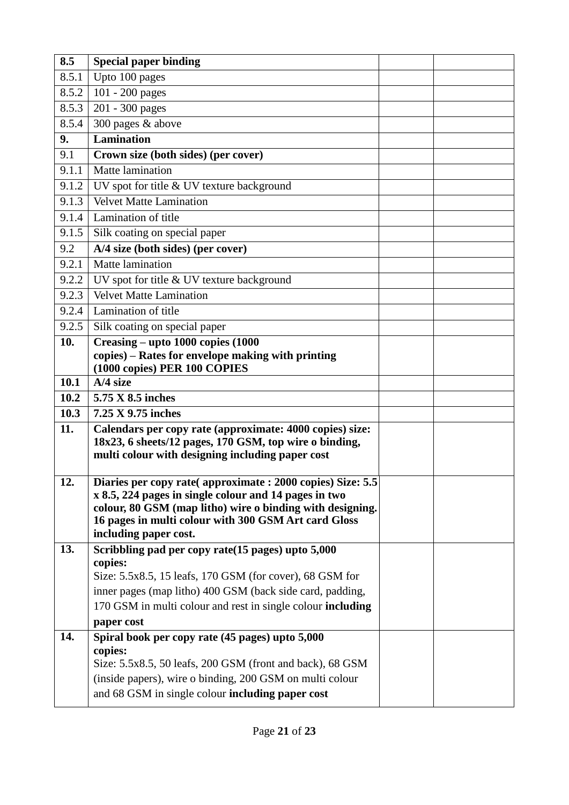| 8.5   | <b>Special paper binding</b>                                                                                        |  |
|-------|---------------------------------------------------------------------------------------------------------------------|--|
| 8.5.1 | Upto 100 pages                                                                                                      |  |
| 8.5.2 | $101 - 200$ pages                                                                                                   |  |
| 8.5.3 | 201 - 300 pages                                                                                                     |  |
| 8.5.4 | 300 pages & above                                                                                                   |  |
| 9.    | <b>Lamination</b>                                                                                                   |  |
| 9.1   | Crown size (both sides) (per cover)                                                                                 |  |
| 9.1.1 | Matte lamination                                                                                                    |  |
| 9.1.2 | UV spot for title & UV texture background                                                                           |  |
| 9.1.3 | <b>Velvet Matte Lamination</b>                                                                                      |  |
| 9.1.4 | Lamination of title                                                                                                 |  |
| 9.1.5 | Silk coating on special paper                                                                                       |  |
| 9.2   | $A/4$ size (both sides) (per cover)                                                                                 |  |
| 9.2.1 | Matte lamination                                                                                                    |  |
| 9.2.2 | UV spot for title & UV texture background                                                                           |  |
| 9.2.3 | <b>Velvet Matte Lamination</b>                                                                                      |  |
| 9.2.4 | Lamination of title                                                                                                 |  |
| 9.2.5 | Silk coating on special paper                                                                                       |  |
| 10.   | Creasing – upto 1000 copies (1000                                                                                   |  |
|       | copies) – Rates for envelope making with printing<br>(1000 copies) PER 100 COPIES                                   |  |
| 10.1  | $A/4$ size                                                                                                          |  |
| 10.2  | 5.75 X 8.5 inches                                                                                                   |  |
| 10.3  | 7.25 X 9.75 inches                                                                                                  |  |
| 11.   | Calendars per copy rate (approximate: 4000 copies) size:                                                            |  |
|       | 18x23, 6 sheets/12 pages, 170 GSM, top wire o binding,                                                              |  |
|       | multi colour with designing including paper cost                                                                    |  |
|       |                                                                                                                     |  |
| 12.   | Diaries per copy rate(approximate: 2000 copies) Size: 5.5<br>x 8.5, 224 pages in single colour and 14 pages in two  |  |
|       |                                                                                                                     |  |
|       |                                                                                                                     |  |
|       | colour, 80 GSM (map litho) wire o binding with designing.                                                           |  |
|       | 16 pages in multi colour with 300 GSM Art card Gloss<br>including paper cost.                                       |  |
| 13.   | Scribbling pad per copy rate(15 pages) upto 5,000                                                                   |  |
|       | copies:                                                                                                             |  |
|       | Size: 5.5x8.5, 15 leafs, 170 GSM (for cover), 68 GSM for                                                            |  |
|       | inner pages (map litho) 400 GSM (back side card, padding,                                                           |  |
|       | 170 GSM in multi colour and rest in single colour including                                                         |  |
|       | paper cost                                                                                                          |  |
| 14.   | Spiral book per copy rate (45 pages) upto 5,000                                                                     |  |
|       | copies:                                                                                                             |  |
|       | Size: 5.5x8.5, 50 leafs, 200 GSM (front and back), 68 GSM                                                           |  |
|       | (inside papers), wire o binding, 200 GSM on multi colour<br>and 68 GSM in single colour <b>including paper cost</b> |  |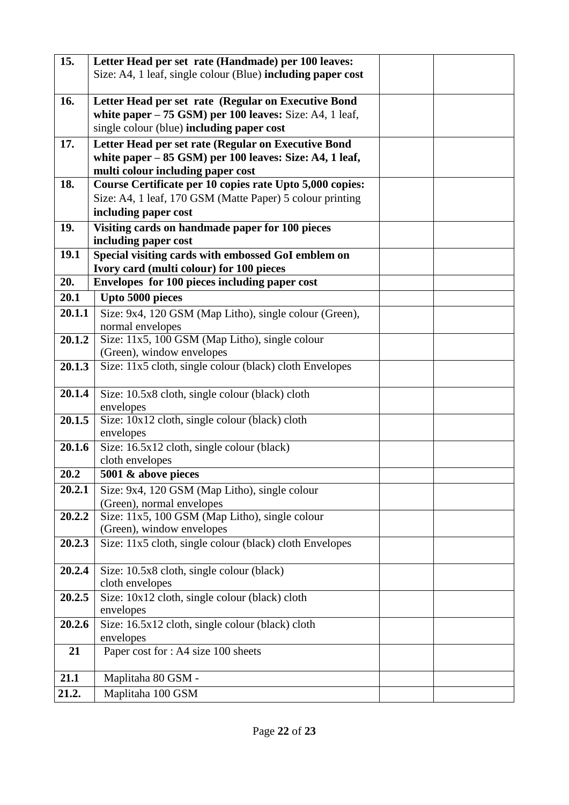| 15.    | Letter Head per set rate (Handmade) per 100 leaves:         |  |
|--------|-------------------------------------------------------------|--|
|        | Size: A4, 1 leaf, single colour (Blue) including paper cost |  |
|        |                                                             |  |
| 16.    | Letter Head per set rate (Regular on Executive Bond         |  |
|        | white paper $-75$ GSM) per 100 leaves: Size: A4, 1 leaf,    |  |
|        | single colour (blue) including paper cost                   |  |
|        |                                                             |  |
| 17.    | Letter Head per set rate (Regular on Executive Bond         |  |
|        | white paper $-85$ GSM) per 100 leaves: Size: A4, 1 leaf,    |  |
|        | multi colour including paper cost                           |  |
| 18.    | Course Certificate per 10 copies rate Upto 5,000 copies:    |  |
|        | Size: A4, 1 leaf, 170 GSM (Matte Paper) 5 colour printing   |  |
|        | including paper cost                                        |  |
| 19.    | Visiting cards on handmade paper for 100 pieces             |  |
|        | including paper cost                                        |  |
| 19.1   | Special visiting cards with embossed GoI emblem on          |  |
|        | Ivory card (multi colour) for 100 pieces                    |  |
| 20.    | Envelopes for 100 pieces including paper cost               |  |
| 20.1   | Upto 5000 pieces                                            |  |
| 20.1.1 | Size: 9x4, 120 GSM (Map Litho), single colour (Green),      |  |
|        | normal envelopes                                            |  |
| 20.1.2 | Size: 11x5, 100 GSM (Map Litho), single colour              |  |
|        | (Green), window envelopes                                   |  |
| 20.1.3 | Size: 11x5 cloth, single colour (black) cloth Envelopes     |  |
|        |                                                             |  |
| 20.1.4 | Size: 10.5x8 cloth, single colour (black) cloth             |  |
|        | envelopes                                                   |  |
| 20.1.5 | Size: 10x12 cloth, single colour (black) cloth              |  |
|        | envelopes                                                   |  |
| 20.1.6 | Size: 16.5x12 cloth, single colour (black)                  |  |
|        | cloth envelopes                                             |  |
| 20.2   | 5001 & above pieces                                         |  |
| 20.2.1 | Size: 9x4, 120 GSM (Map Litho), single colour               |  |
|        | (Green), normal envelopes                                   |  |
| 20.2.2 | Size: 11x5, 100 GSM (Map Litho), single colour              |  |
|        | (Green), window envelopes                                   |  |
| 20.2.3 | Size: 11x5 cloth, single colour (black) cloth Envelopes     |  |
|        |                                                             |  |
| 20.2.4 | Size: 10.5x8 cloth, single colour (black)                   |  |
|        | cloth envelopes                                             |  |
| 20.2.5 | Size: 10x12 cloth, single colour (black) cloth              |  |
|        | envelopes                                                   |  |
| 20.2.6 | Size: 16.5x12 cloth, single colour (black) cloth            |  |
|        | envelopes                                                   |  |
| 21     | Paper cost for : A4 size 100 sheets                         |  |
|        |                                                             |  |
| 21.1   | Maplitaha 80 GSM -                                          |  |
| 21.2.  | Maplitaha 100 GSM                                           |  |
|        |                                                             |  |